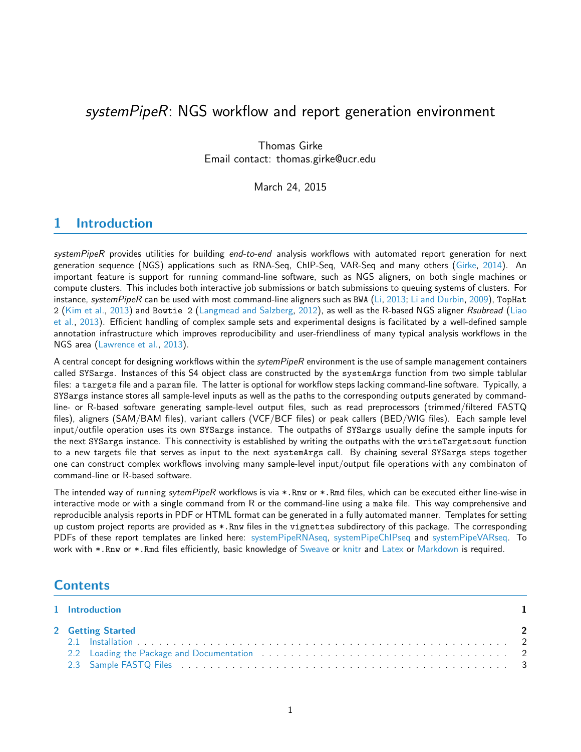# systemPipeR: NGS workflow and report generation environment

Thomas Girke Email contact: thomas.girke@ucr.edu

March 24, 2015

# <span id="page-0-0"></span>1 Introduction

systemPipeR provides utilities for building end-to-end analysis workflows with automated report generation for next generation sequence (NGS) applications such as RNA-Seq, ChIP-Seq, VAR-Seq and many others [\(Girke,](#page-15-0) [2014\)](#page-15-0). An important feature is support for running command-line software, such as NGS aligners, on both single machines or compute clusters. This includes both interactive job submissions or batch submissions to queuing systems of clusters. For instance, systemPipeR can be used with most command-line aligners such as BWA [\(Li,](#page-15-1) [2013;](#page-15-1) [Li and Durbin,](#page-15-2) [2009\)](#page-15-2), TopHat 2 [\(Kim et al.,](#page-15-3) [2013\)](#page-15-3) and Bowtie 2 [\(Langmead and Salzberg,](#page-15-4) [2012\)](#page-15-4), as well as the R-based NGS aligner Rsubread [\(Liao](#page-15-5) [et al.,](#page-15-5) [2013\)](#page-15-5). Efficient handling of complex sample sets and experimental designs is facilitated by a well-defined sample annotation infrastructure which improves reproducibility and user-friendliness of many typical analysis workflows in the NGS area [\(Lawrence et al.,](#page-15-6) [2013\)](#page-15-6).

A central concept for designing workflows within the *sytemPipeR* environment is the use of sample management containers called SYSargs. Instances of this S4 object class are constructed by the systemArgs function from two simple tablular files: a targets file and a param file. The latter is optional for workflow steps lacking command-line software. Typically, a SYSargs instance stores all sample-level inputs as well as the paths to the corresponding outputs generated by commandline- or R-based software generating sample-level output files, such as read preprocessors (trimmed/filtered FASTQ files), aligners (SAM/BAM files), variant callers (VCF/BCF files) or peak callers (BED/WIG files). Each sample level input/outfile operation uses its own SYSargs instance. The outpaths of SYSargs usually define the sample inputs for the next SYSargs instance. This connectivity is established by writing the outpaths with the writeTargetsout function to a new targets file that serves as input to the next systemArgs call. By chaining several SYSargs steps together one can construct complex workflows involving many sample-level input/output file operations with any combinaton of command-line or R-based software.

The intended way of running sytemPipeR workflows is via \*.Rnw or \*.Rmd files, which can be executed either line-wise in interactive mode or with a single command from R or the command-line using a make file. This way comprehensive and reproducible analysis reports in PDF or HTML format can be generated in a fully automated manner. Templates for setting up custom project reports are provided as \*.Rnw files in the vignettes subdirectory of this package. The corresponding PDFs of these report templates are linked here: [systemPipeRNAseq,](https://github.com/tgirke/systemPipeR/blob/master/vignettes/systemPipeRNAseq.pdf?raw=true) [systemPipeChIPseq](https://github.com/tgirke/systemPipeR/blob/master/vignettes/systemPipeChIPseq.pdf?raw=true) and [systemPipeVARseq.](https://github.com/tgirke/systemPipeR/blob/master/vignettes/systemPipeVARseq.pdf?raw=true) To work with \*.Rnw or \*.Rmd files efficiently, basic knowledge of [Sweave](https://www.stat.uni-muenchen.de/~leisch/Sweave/) or [knitr](http://yihui.name/knitr/) and [Latex](http://www.latex-project.org/) or [Markdown](http://rmarkdown.rstudio.com/) is required.

# **Contents**

| 1 Introduction                                                                                                  |  |  |
|-----------------------------------------------------------------------------------------------------------------|--|--|
| 2 Getting Started                                                                                               |  |  |
|                                                                                                                 |  |  |
| 2.2 Loading the Package and Documentation (a) respectively and the control of the Package and Documentation (b) |  |  |
|                                                                                                                 |  |  |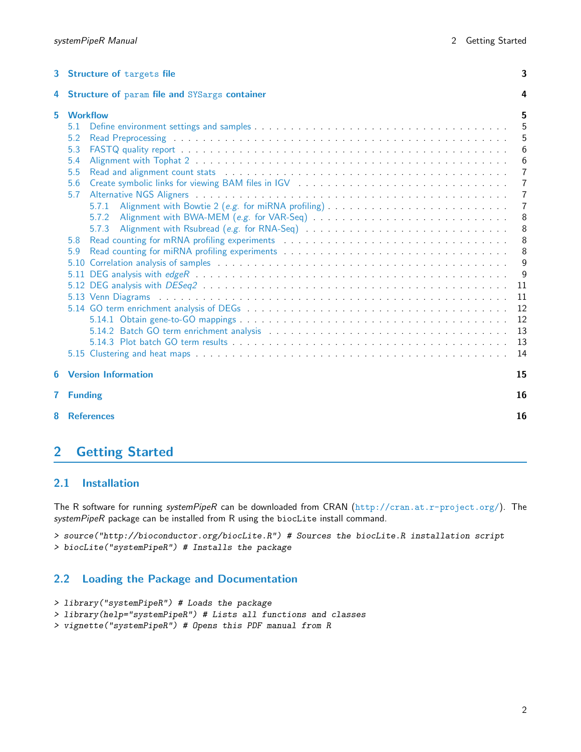| 3 | Structure of targets file                                                                                                                                                                                                                                                                                                                                                                                                                                                                                                                                                                                                          |                                                                                                                                                    |  |  |  |  |  |  |
|---|------------------------------------------------------------------------------------------------------------------------------------------------------------------------------------------------------------------------------------------------------------------------------------------------------------------------------------------------------------------------------------------------------------------------------------------------------------------------------------------------------------------------------------------------------------------------------------------------------------------------------------|----------------------------------------------------------------------------------------------------------------------------------------------------|--|--|--|--|--|--|
| 4 | Structure of param file and SYSargs container                                                                                                                                                                                                                                                                                                                                                                                                                                                                                                                                                                                      |                                                                                                                                                    |  |  |  |  |  |  |
| 5 | <b>Workflow</b><br>5.1<br>5.2<br>5.3<br>5.4<br>5.5<br>5.6<br>5.7<br>Alignment with Bowtie 2 (e.g. for miRNA profiling)<br>5.7.1<br>5.7.2<br>5.7.3<br>5.8<br>5.9<br>5.10 Correlation analysis of samples entering to the set of the set of the samples of samples of the set of the set of the set of the set of the set of the set of the set of the set of the set of the set of the set of the<br>5.13 Venn Diagrams (and all contracts of the contracts of the contracts of the contracts of the contracts of the contracts of the contracts of the contracts of the contracts of the contracts of the contracts of the contrac | 5<br>5<br>5<br>6<br>6<br>$\overline{7}$<br>$\overline{7}$<br>7<br>$\overline{7}$<br>8<br>8<br>8<br>8<br>9<br>9<br>11<br>11<br>12<br>12<br>13<br>13 |  |  |  |  |  |  |
|   | 5.15 Clustering and heat maps entitled to contact the contract of the contact the contact of the contact of the                                                                                                                                                                                                                                                                                                                                                                                                                                                                                                                    | 14                                                                                                                                                 |  |  |  |  |  |  |
| 6 | <b>Version Information</b>                                                                                                                                                                                                                                                                                                                                                                                                                                                                                                                                                                                                         | 15                                                                                                                                                 |  |  |  |  |  |  |
| 7 | <b>Funding</b>                                                                                                                                                                                                                                                                                                                                                                                                                                                                                                                                                                                                                     | 16                                                                                                                                                 |  |  |  |  |  |  |
| 8 | <b>References</b>                                                                                                                                                                                                                                                                                                                                                                                                                                                                                                                                                                                                                  | 16                                                                                                                                                 |  |  |  |  |  |  |

# <span id="page-1-0"></span>2 Getting Started

### <span id="page-1-1"></span>2.1 Installation

The R software for running systemPipeR can be downloaded from CRAN (<http://cran.at.r-project.org/>). The systemPipeR package can be installed from R using the biocLite install command.

> source("http://bioconductor.org/biocLite.R") # Sources the biocLite.R installation script

> biocLite("systemPipeR") # Installs the package

## <span id="page-1-2"></span>2.2 Loading the Package and Documentation

```
> library("systemPipeR") # Loads the package
```
> library(help="systemPipeR") # Lists all functions and classes

<span id="page-1-3"></span>> vignette("systemPipeR") # Opens this PDF manual from R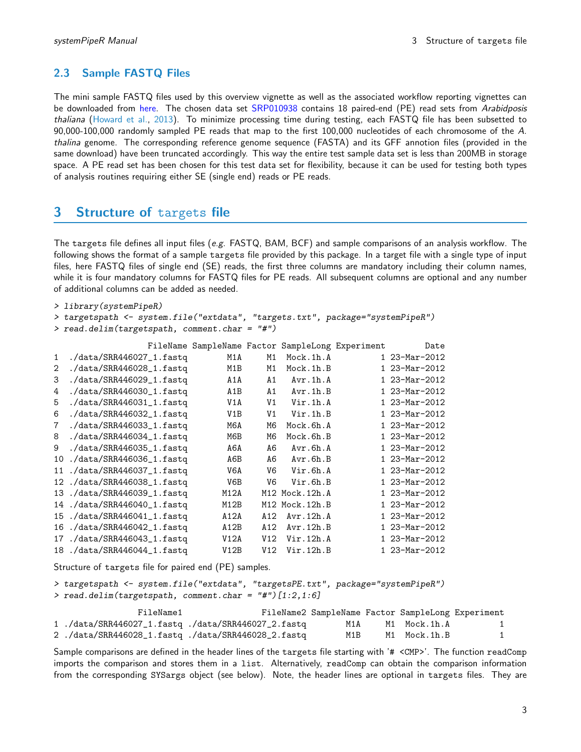## 2.3 Sample FASTQ Files

The mini sample FASTQ files used by this overview vignette as well as the associated workflow reporting vignettes can be downloaded from [here.](http://biocluster.ucr.edu/~tgirke/projects/systemPipeR_test_data.zip) The chosen data set [SRP010938](http://www.ncbi.nlm.nih.gov/sra/?term=SRP010938) contains 18 paired-end (PE) read sets from Arabidposis thaliana [\(Howard et al.,](#page-15-9) [2013\)](#page-15-9). To minimize processing time during testing, each FASTQ file has been subsetted to 90,000-100,000 randomly sampled PE reads that map to the first 100,000 nucleotides of each chromosome of the A. thalina genome. The corresponding reference genome sequence (FASTA) and its GFF annotion files (provided in the same download) have been truncated accordingly. This way the entire test sample data set is less than 200MB in storage space. A PE read set has been chosen for this test data set for flexibility, because it can be used for testing both types of analysis routines requiring either SE (single end) reads or PE reads.

# <span id="page-2-0"></span>3 Structure of targets file

The targets file defines all input files (e.g. FASTQ, BAM, BCF) and sample comparisons of an analysis workflow. The following shows the format of a sample targets file provided by this package. In a target file with a single type of input files, here FASTQ files of single end (SE) reads, the first three columns are mandatory including their column names, while it is four mandatory columns for FASTQ files for PE reads. All subsequent columns are optional and any number of additional columns can be added as needed.

```
> library(systemPipeR)
> targetspath <- system.file("extdata", "targets.txt", package="systemPipeR")
```
> read.delim(targetspath, comment.char = "#")

|  |  | FileName SampleName Factor SampleLong Experiment | Date |
|--|--|--------------------------------------------------|------|
|  |  |                                                  |      |

| $\mathbf{1}$ | ./data/SRR446027_1.fastq    | M1A              | M1              | Mock.1h.A      | 1 23-Mar-2012 |
|--------------|-----------------------------|------------------|-----------------|----------------|---------------|
| 2            | ./data/SRR446028_1.fastq    | M1B              | M1              | Mock.1h.B      | 1 23-Mar-2012 |
| 3            | ./data/SRR446029_1.fastq    | A1A              | A1              | Avr.1h.A       | 1 23-Mar-2012 |
| 4            | ./data/SRR446030_1.fastq    | A1B              | A1              | Avr.1h.B       | 1 23-Mar-2012 |
| 5            | ./data/SRR446031_1.fastq    | V1A              | V <sub>1</sub>  | Vir.1h.A       | 1 23-Mar-2012 |
| 6            | ./data/SRR446032_1.fastq    | V <sub>1</sub> B | V <sub>1</sub>  | Vir.1h.B       | 1 23-Mar-2012 |
| 7            | ./data/SRR446033_1.fastq    | M6A              | M6              | Mock.6h.A      | 1 23-Mar-2012 |
| 8            | $./data/SRR446034_1.fastq$  | M6B              | M6              | Mock.6h.B      | 1 23-Mar-2012 |
| 9            | ./data/SRR446035_1.fastq    | A6A              | A6              | Avr.6h.A       | 1 23-Mar-2012 |
| 10           | $./data/SRR446036_1.fastq$  | A6B              | A6              | Avr.6h.B       | 1 23-Mar-2012 |
|              | 11 ./data/SRR446037_1.fastq | V6A              | V6              | Vir.6h.A       | 1 23-Mar-2012 |
|              | 12 ./data/SRR446038_1.fastq | V6B              | V6              | Vir.6h.B       | 1 23-Mar-2012 |
|              | 13 ./data/SRR446039_1.fastq | M12A             |                 | M12 Mock.12h.A | 1 23-Mar-2012 |
| 14           | $./data/SRR446040_1.fastq$  | M12B             |                 | M12 Mock.12h.B | 1 23-Mar-2012 |
| 15           | $./data/SRR446041_1.fastq$  | A12A             | A12             | Avr.12h.A      | 1 23-Mar-2012 |
| 16           | $./data/SRR446042_1.fastq$  | A12B             | A <sub>12</sub> | Avr.12h.B      | 1 23-Mar-2012 |
| 17           | ./data/SRR446043_1.fastq    | V12A             | V12             | Vir.12h.A      | 1 23-Mar-2012 |
|              | 18 ./data/SRR446044_1.fastq | V12B             | V12             | Vir.12h.B      | 1 23-Mar-2012 |

Structure of targets file for paired end (PE) samples.

> targetspath <- system.file("extdata", "targetsPE.txt", package="systemPipeR") > read.delim(targetspath, comment.char = "#")[1:2,1:6]

| FileName1 |                                                   |     | FileName2 SampleName Factor SampleLong Experiment |              |
|-----------|---------------------------------------------------|-----|---------------------------------------------------|--------------|
|           | 1./data/SRR446027_1.fastq./data/SRR446027_2.fastq | M1A | M1 Mock.1h.A                                      | $\mathbf{1}$ |
|           | 2./data/SRR446028_1.fastq./data/SRR446028_2.fastq | M1B | M1 Mock.1h.B                                      |              |

Sample comparisons are defined in the header lines of the targets file starting with '# <CMP>'. The function readComp imports the comparison and stores them in a list. Alternatively, readComp can obtain the comparison information from the corresponding SYSargs object (see below). Note, the header lines are optional in targets files. They are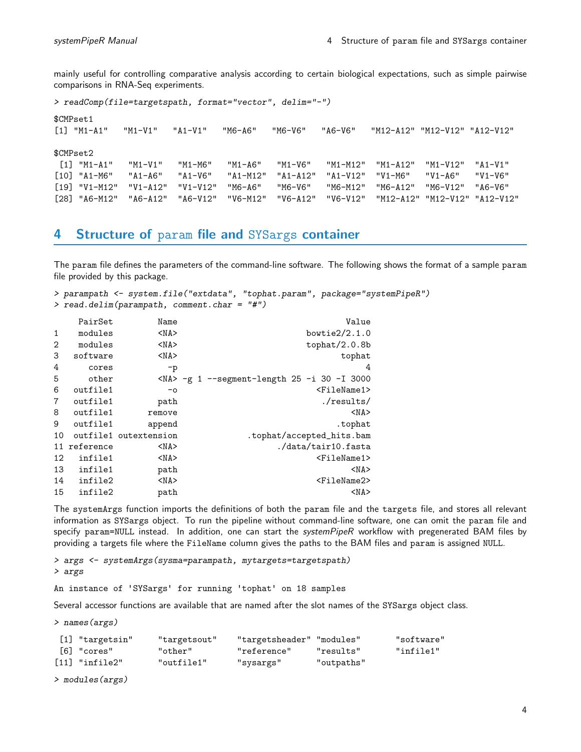mainly useful for controlling comparative analysis according to certain biological expectations, such as simple pairwise comparisons in RNA-Seq experiments.

> readComp(file=targetspath, format="vector", delim="-") \$CMPset1 [1] "M1-A1" "M1-V1" "A1-V1" "M6-A6" "M6-V6" "A6-V6" "M12-A12" "M12-V12" "A12-V12" \$CMPset2 [1] "M1-A1" "M1-V1" "M1-M6" "M1-A6" "M1-V6" "M1-M12" "M1-A12" "M1-V12" "A1-V1" [10] "A1-M6" "A1-A6" "A1-V6" "A1-M12" "A1-A12" "A1-V12" "V1-M6" "V1-A6" "V1-V6" [19] "V1-M12" "V1-A12" "V1-V12" "M6-A6" "M6-V6" "M6-M12" "M6-A12" "M6-V12" "A6-V6" [28] "A6-M12" "A6-A12" "A6-V12" "V6-M12" "V6-A12" "V6-V12" "M12-A12" "M12-V12" "A12-V12"

# <span id="page-3-0"></span>4 Structure of param file and SYSargs container

The param file defines the parameters of the command-line software. The following shows the format of a sample param file provided by this package.

```
> parampath <- system.file("extdata", "tophat.param", package="systemPipeR")
> read.delim(parampath, comment.char = "#")
```

|                | PairSet   | Name                  | Value                                                       |
|----------------|-----------|-----------------------|-------------------------------------------------------------|
| $\mathbf{1}$   | modules   | $<$ NA $>$            | bowtie $2/2.1.0$                                            |
| 2              | modules   | $<$ NA $>$            | tophat/2.0.8b                                               |
| 3              | software  | $<$ NA $>$            | tophat                                                      |
| 4              | cores     | $-p$                  | 4                                                           |
| 5              | other     |                       | $\langle NA \rangle$ -g 1 --segment-length 25 -i 30 -I 3000 |
| 6              | outfile1  | $-0$                  | $<$ FileName1>                                              |
| $\overline{7}$ | outfile1  | path                  | ./results/                                                  |
| 8              | outfile1  | remove                | $<$ NA $>$                                                  |
| 9              | outfile1  | append                | .tophat                                                     |
| 10             |           | outfile1 outextension | .tophat/accepted_hits.bam                                   |
| 11             | reference | $<$ NA $>$            | ./data/tair10.fasta                                         |
| 12             | infile1   | $<$ NA $>$            | <filename1></filename1>                                     |
| 13             | infile1   | path                  | $<$ NA $>$                                                  |
| 14             | infile2   | $<$ NA $>$            | <filename2></filename2>                                     |
| 15             | infile2   | path                  | $<$ NA $>$                                                  |

The systemArgs function imports the definitions of both the param file and the targets file, and stores all relevant information as SYSargs object. To run the pipeline without command-line software, one can omit the param file and specify param=NULL instead. In addition, one can start the systemPipeR workflow with pregenerated BAM files by providing a targets file where the FileName column gives the paths to the BAM files and param is assigned NULL.

```
> args <- systemArgs(sysma=parampath, mytargets=targetspath)
> args
```
An instance of 'SYSargs' for running 'tophat' on 18 samples

Several accessor functions are available that are named after the slot names of the SYSargs object class.

> names(args)

| [1] "targetsin"              | "targetsout" | "targetsheader" "modules" |            | "software" |
|------------------------------|--------------|---------------------------|------------|------------|
| [6] "cores"                  | "other"      | "reference"               | "results"  | "infile1"  |
| $\lceil 11 \rceil$ "infile2" | "outfile1"   | "sysargs"                 | "outpaths" |            |

> modules(args)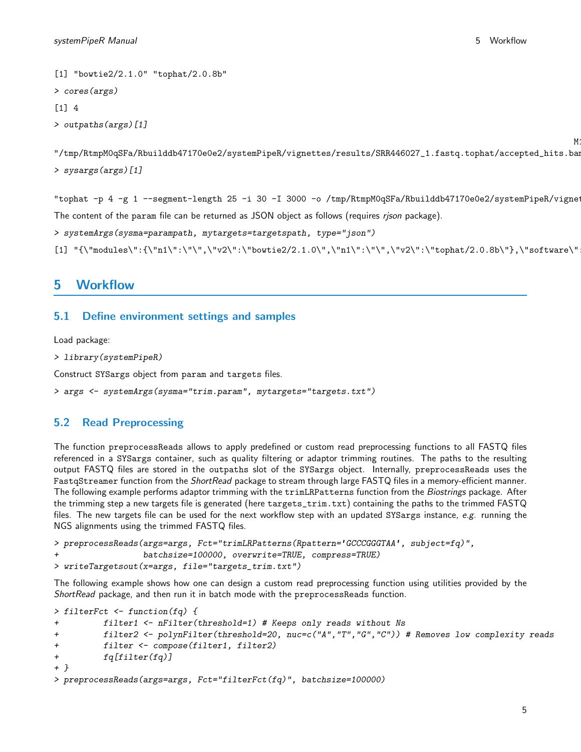$M:$ 

```
[1] "bowtie2/2.1.0" "tophat/2.0.8b"
> cores(args)
[1] 4
> outpaths(args)[1]
```

```
"/tmp/RtmpM0qSFa/Rbuilddb47170e0e2/systemPipeR/vignettes/results/SRR446027_1.fastq.tophat/accepted_hits.bam"
> sysargs(args)[1]
```
"tophat -p 4 -g 1 --segment-length 25 -i 30 -I 3000 -o /tmp/RtmpM0qSFa/Rbuilddb47170e0e2/systemPipeR/vigne The content of the param file can be returned as JSON object as follows (requires *rison* package).

> systemArgs(sysma=parampath, mytargets=targetspath, type="json")

```
[1] "{\mbox{\tt \char'4} } "t\mbox{\tt \char'4} "t\mbox{\tt \char'4} "t\mbox{\tt \char'4} "t\mbox{\tt \char'4} "t\mbox{\tt \char'4} "t\mbox{\tt \char'4} "t\mbox{\tt \char'4} "t\mbox{\tt \char'4} "t\mbox{\tt \char'4} "t\mbox{\tt \char'4} "t\mbox{\tt \char'4} "t\mbox{\tt \char'4} "t\mbox{\tt \char'4} "t\mbox{\tt \char'4} "t\mbox{\tt \char'4} "t\mbox{\tt \char'4} "t\mbox{\tt \char'4} "
```
# <span id="page-4-0"></span>5 Workflow

### <span id="page-4-1"></span>5.1 Define environment settings and samples

Load package:

```
> library(systemPipeR)
```
Construct SYSargs object from param and targets files.

```
> args <- systemArgs(sysma="trim.param", mytargets="targets.txt")
```
#### <span id="page-4-2"></span>5.2 Read Preprocessing

The function preprocessReads allows to apply predefined or custom read preprocessing functions to all FASTQ files referenced in a SYSargs container, such as quality filtering or adaptor trimming routines. The paths to the resulting output FASTQ files are stored in the outpaths slot of the SYSargs object. Internally, preprocessReads uses the FastqStreamer function from the ShortRead package to stream through large FASTQ files in a memory-efficient manner. The following example performs adaptor trimming with the trimLRPatterns function from the Biostrings package. After the trimming step a new targets file is generated (here targets\_trim.txt) containing the paths to the trimmed FASTQ files. The new targets file can be used for the next workflow step with an updated SYSargs instance, e.g. running the NGS alignments using the trimmed FASTQ files.

```
> preprocessReads(args=args, Fct="trimLRPatterns(Rpattern='GCCCGGGTAA', subject=fq)",
                  batchsize=100000, overwrite=TRUE, compress=TRUE)
> writeTargetsout(x=args, file="targets_trim.txt")
```
The following example shows how one can design a custom read preprocessing function using utilities provided by the ShortRead package, and then run it in batch mode with the preprocessReads function.

```
> filterFct <- function(fq) {
+ filter1 <- nFilter(threshold=1) # Keeps only reads without Ns
+ filter2 <- polynFilter(threshold=20, nuc=c("A","T","G","C")) # Removes low complexity reads
+ filter <- compose(filter1, filter2)
+ fq[filter(fq)]
+ }
> preprocessReads(args=args, Fct="filterFct(fq)", batchsize=100000)
```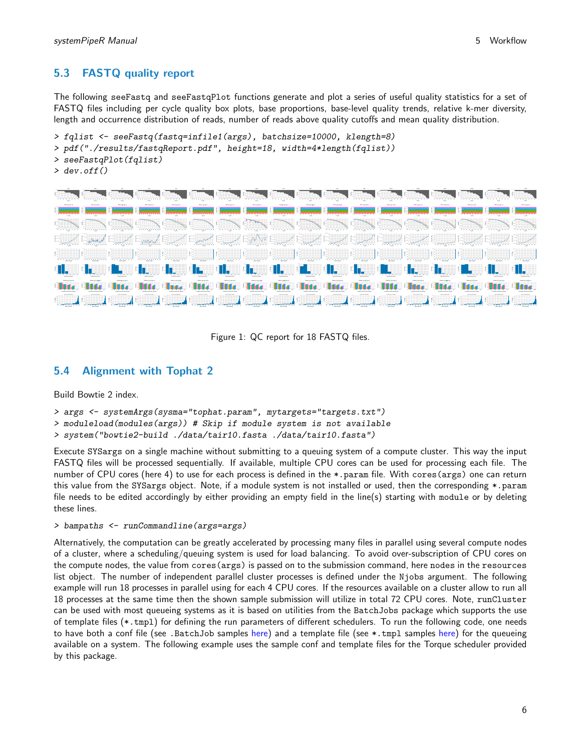Mean Quality

Mean Quality

# <span id="page-5-0"></span>5.3 FASTQ quality report

The following seeFastq and seeFastqPlot functions generate and plot a series of useful quality statistics for a set of FASTQ files including per cycle quality box plots, base proportions, base-level quality trends, relative k-mer diversity, length and occurrence distribution of reads, number of reads above quality cutoffs and mean quality distribution.

```
> fqlist <- seeFastq(fastq=infile1(args), batchsize=10000, klength=8)
> pdf("./results/fastqReport.pdf", height=18, width=4*length(fqlist))
> seeFastqPlot(fqlist)
> dev. of f()Proportion
                                              Proportion
                                                                               Proportion
```


Mean Quality

Figure 1: QC report for 18 FASTQ files.

### <span id="page-5-1"></span>5.4 Alignment with Tophat 2

Build Bowtie 2 index.

Mean Quality

Mean Quality

```
> args <- systemArgs(sysma="tophat.param", mytargets="targets.txt")
```
> moduleload(modules(args)) # Skip if module system is not available

```
> system("bowtie2-build ./data/tair10.fasta ./data/tair10.fasta")
```
Mean Quality

Execute SYSargs on a single machine without submitting to a queuing system of a compute cluster. This way the input FASTQ files will be processed sequentially. If available, multiple CPU cores can be used for processing each file. The number of CPU cores (here 4) to use for each process is defined in the \*.param file. With cores(args) one can return this value from the SYSargs object. Note, if a module system is not installed or used, then the corresponding \*.param file needs to be edited accordingly by either providing an empty field in the line(s) starting with module or by deleting these lines.

#### > bampaths <- runCommandline(args=args)

Alternatively, the computation can be greatly accelerated by processing many files in parallel using several compute nodes of a cluster, where a scheduling/queuing system is used for load balancing. To avoid over-subscription of CPU cores on the compute nodes, the value from cores(args) is passed on to the submission command, here nodes in the resources list object. The number of independent parallel cluster processes is defined under the Njobs argument. The following example will run 18 processes in parallel using for each 4 CPU cores. If the resources available on a cluster allow to run all 18 processes at the same time then the shown sample submission will utilize in total 72 CPU cores. Note, runCluster can be used with most queueing systems as it is based on utilities from the BatchJobs package which supports the use of template files (\*.tmpl) for defining the run parameters of different schedulers. To run the following code, one needs to have both a conf file (see .BatchJob samples [here\)](https://github.com/tudo-r/BatchJobs/tree/master/examples) and a template file (see \*.tmpl samples here) for the queueing available on a system. The following example uses the sample conf and template files for the Torque scheduler provided by this package.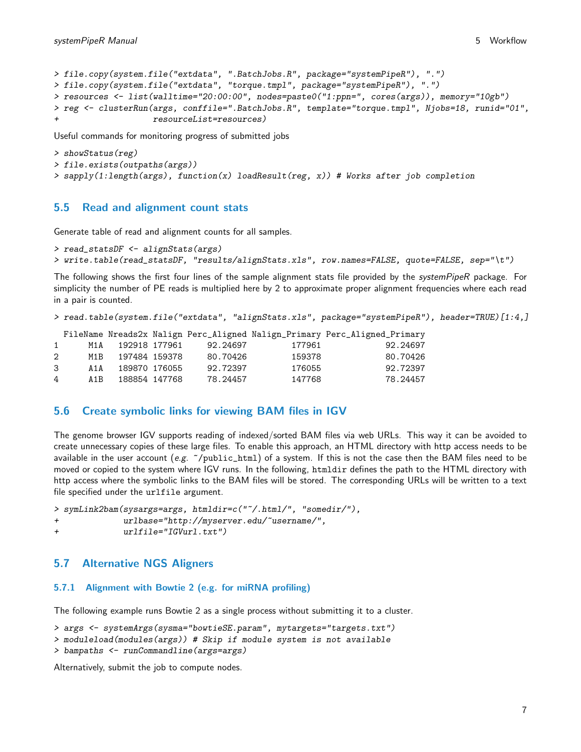```
> file.copy(system.file("extdata", ".BatchJobs.R", package="systemPipeR"), ".")
> file.copy(system.file("extdata", "torque.tmpl", package="systemPipeR"), ".")
> resources <- list(walltime="20:00:00", nodes=paste0("1:ppn=", cores(args)), memory="10gb")
> reg <- clusterRun(args, conffile=".BatchJobs.R", template="torque.tmpl", Njobs=18, runid="01",
                   resourceList=resource
```
Useful commands for monitoring progress of submitted jobs

```
> showStatus(reg)
> file.exists(outpaths(args))
> sapply(1:length(args), function(x) loadResult(reg, x)) # Works after job completion
```
#### <span id="page-6-0"></span>5.5 Read and alignment count stats

Generate table of read and alignment counts for all samples.

```
> read_statsDF <- alignStats(args)
```

```
> write.table(read_statsDF, "results/alignStats.xls", row.names=FALSE, quote=FALSE, sep="\t")
```
The following shows the first four lines of the sample alignment stats file provided by the systemPipeR package. For simplicity the number of PE reads is multiplied here by 2 to approximate proper alignment frequencies where each read in a pair is counted.

```
> read.table(system.file("extdata", "alignStats.xls", package="systemPipeR"), header=TRUE)[1:4,]
```
FileName Nreads2x Nalign Perc\_Aligned Nalign\_Primary Perc\_Aligned\_Primary

| $\mathbf{1}$   | M1A   | 192918 177961 | 92.24697 | 177961 | 92.24697 |
|----------------|-------|---------------|----------|--------|----------|
| $2^{\circ}$    | M1B.  | 197484 159378 | 80.70426 | 159378 | 80.70426 |
| 3              | A 1 A | 189870 176055 | 92.72397 | 176055 | 92.72397 |
| $\overline{4}$ | A 1 R | 188854 147768 | 78.24457 | 147768 | 78.24457 |
|                |       |               |          |        |          |

#### <span id="page-6-1"></span>5.6 Create symbolic links for viewing BAM files in IGV

The genome browser IGV supports reading of indexed/sorted BAM files via web URLs. This way it can be avoided to create unnecessary copies of these large files. To enable this approach, an HTML directory with http access needs to be available in the user account (e.g.  $\gamma$  public\_html) of a system. If this is not the case then the BAM files need to be moved or copied to the system where IGV runs. In the following, htmldir defines the path to the HTML directory with http access where the symbolic links to the BAM files will be stored. The corresponding URLs will be written to a text file specified under the urlfile argument.

```
> symLink2bam(sysargs=args, htmldir=c("~/.html/", "somedir/"),
+ urlbase="http://myserver.edu/~username/",
+ urlfile="IGVurl.txt")
```
#### <span id="page-6-2"></span>5.7 Alternative NGS Aligners

### <span id="page-6-3"></span>5.7.1 Alignment with Bowtie 2 (e.g. for miRNA profiling)

The following example runs Bowtie 2 as a single process without submitting it to a cluster.

```
> args <- systemArgs(sysma="bowtieSE.param", mytargets="targets.txt")
```

```
> moduleload(modules(args)) # Skip if module system is not available
```

```
> bampaths <- runCommandline(args=args)
```
Alternatively, submit the job to compute nodes.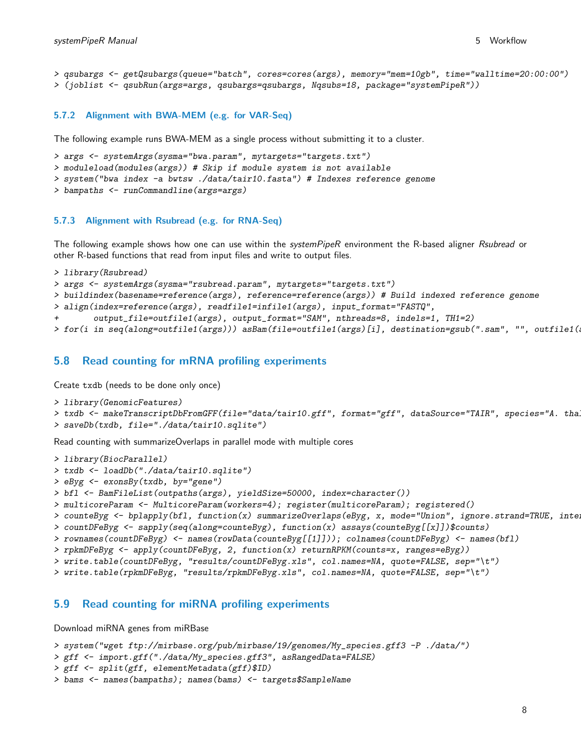```
> qsubargs <- getQsubargs(queue="batch", cores=cores(args), memory="mem=10gb", time="walltime=20:00:00")
> (joblist <- qsubRun(args=args, qsubargs=qsubargs, Nqsubs=18, package="systemPipeR"))
```
#### <span id="page-7-0"></span>5.7.2 Alignment with BWA-MEM (e.g. for VAR-Seq)

The following example runs BWA-MEM as a single process without submitting it to a cluster.

> args <- systemArgs(sysma="bwa.param", mytargets="targets.txt")

> moduleload(modules(args)) # Skip if module system is not available

> system("bwa index -a bwtsw ./data/tair10.fasta") # Indexes reference genome

```
> bampaths <- runCommandline(args=args)
```
#### <span id="page-7-1"></span>5.7.3 Alignment with Rsubread (e.g. for RNA-Seq)

The following example shows how one can use within the systemPipeR environment the R-based aligner Rsubread or other R-based functions that read from input files and write to output files.

```
> library(Rsubread)
```
> args <- systemArgs(sysma="rsubread.param", mytargets="targets.txt")

> buildindex(basename=reference(args), reference=reference(args)) # Build indexed reference genome

> align(index=reference(args), readfile1=infile1(args), input\_format="FASTQ",

+ output\_file=outfile1(args), output\_format="SAM", nthreads=8, indels=1, TH1=2)

> for(i in seq(along=outfile1(args))) asBam(file=outfile1(args)[i], destination=gsub(".sam", "", outfile1(

#### <span id="page-7-2"></span>5.8 Read counting for mRNA profiling experiments

Create txdb (needs to be done only once)

```
> library(GenomicFeatures)
```

```
> txdb <- makeTranscriptDbFromGFF(file="data/tair10.gff", format="gff", dataSource="TAIR", species="A. tha.
```

```
> saveDb(txdb, file="./data/tair10.sqlite")
```
Read counting with summarizeOverlaps in parallel mode with multiple cores

```
> library(BiocParallel)
```

```
> txdb <- loadDb("./data/tair10.sqlite")
```

```
> eByg <- exonsBy(txdb, by="gene")
```

```
> bfl <- BamFileList(outpaths(args), yieldSize=50000, index=character())
```

```
> multicoreParam <- MulticoreParam(workers=4); register(multicoreParam); registered()
```

```
> counteByg <- bplapply(bfl, function(x) summarizeOverlaps(eByg, x, mode="Union", ignore.strand=TRUE, inte.
```

```
> countDFeByg <- sapply(seq(along=counteByg), function(x) assays(counteByg[[x]])$counts)
```

```
> rownames(countDFeByg) <- names(rowData(counteByg[[1]])); colnames(countDFeByg) <- names(bfl)
```

```
> rpkmDFeByg <- apply(countDFeByg, 2, function(x) returnRPKM(counts=x, ranges=eByg))
```
> write.table(countDFeByg, "results/countDFeByg.xls", col.names=NA, quote=FALSE, sep="\t")

> write.table(rpkmDFeByg, "results/rpkmDFeByg.xls", col.names=NA, quote=FALSE, sep="\t")

#### <span id="page-7-3"></span>5.9 Read counting for miRNA profiling experiments

Download miRNA genes from miRBase

```
> system("wget ftp://mirbase.org/pub/mirbase/19/genomes/My_species.gff3 -P ./data/")
```

```
> gff <- import.gff("./data/My_species.gff3", asRangedData=FALSE)
```

```
> gff <- split(gff, elementMetadata(gff)$ID)
```

```
> bams <- names(bampaths); names(bams) <- targets$SampleName
```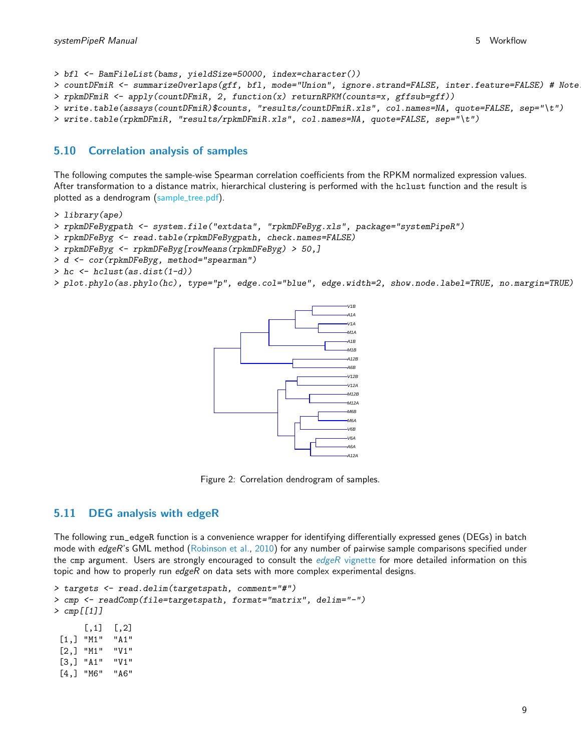> bfl <- BamFileList(bams, yieldSize=50000, index=character()) > countDFmiR <- summarizeOverlaps(gff, bfl, mode="Union", ignore.strand=FALSE, inter.feature=FALSE) # Note > rpkmDFmiR <- apply(countDFmiR, 2, function(x) returnRPKM(counts=x, gffsub=gff)) > write.table(assays(countDFmiR)\$counts, "results/countDFmiR.xls", col.names=NA, quote=FALSE, sep="\t") > write.table(rpkmDFmiR, "results/rpkmDFmiR.xls", col.names=NA, quote=FALSE, sep="\t")

### <span id="page-8-0"></span>5.10 Correlation analysis of samples

The following computes the sample-wise Spearman correlation coefficients from the RPKM normalized expression values. After transformation to a distance matrix, hierarchical clustering is performed with the hclust function and the result is plotted as a dendrogram (sample\_tree.pdf).

```
> library(ape)
```

```
> rpkmDFeBygpath <- system.file("extdata", "rpkmDFeByg.xls", package="systemPipeR")
```
- > rpkmDFeByg <- read.table(rpkmDFeBygpath, check.names=FALSE)
- > rpkmDFeByg <- rpkmDFeByg[rowMeans(rpkmDFeByg) > 50,]
- > d <- cor(rpkmDFeByg, method="spearman")
- > hc <- hclust(as.dist(1-d))

```
> plot.phylo(as.phylo(hc), type="p", edge.col="blue", edge.width=2, show.node.label=TRUE, no.margin=TRUE)
```


Figure 2: Correlation dendrogram of samples.

#### <span id="page-8-1"></span>5.11 DEG analysis with edgeR

The following run\_edgeR function is a convenience wrapper for identifying differentially expressed genes (DEGs) in batch mode with edgeR's GML method [\(Robinson et al.,](#page-15-10) [2010\)](#page-15-10) for any number of pairwise sample comparisons specified under the cmp argument. Users are strongly encouraged to consult the  $edgeR$  [vignette](http://www.bioconductor.org/packages/devel/bioc/vignettes/edgeR/inst/doc/edgeRUsersGuide.pdf) for more detailed information on this topic and how to properly run edgeR on data sets with more complex experimental designs.

```
> targets <- read.delim(targetspath, comment="#")
> cmp <- readComp(file=targetspath, format="matrix", delim="-")
> cmp[[1]]
      [0,1] [0,2][1,] "M1" "A1"
 [2,] "M1" "V1"
 [3,] "A1" "V1"
 [4,] "M6" "A6"
```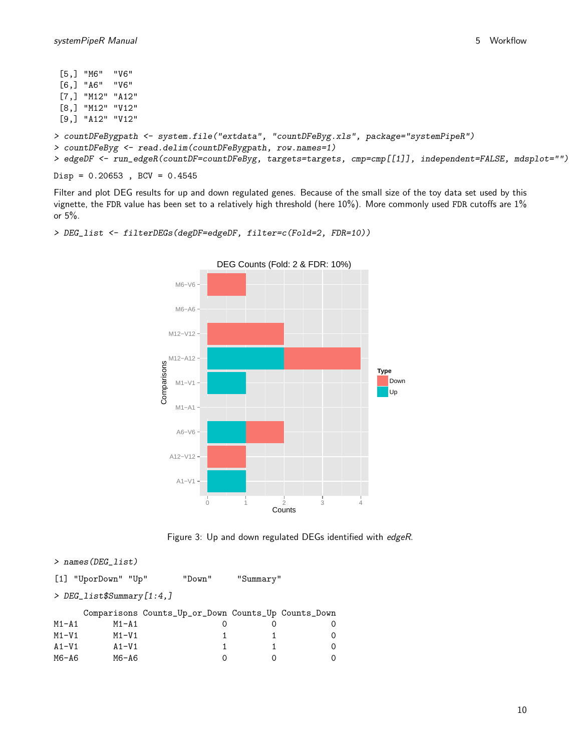```
[5,] "M6" "V6"
 [6,] "A6" "V6"
 [7,] "M12" "A12"
 [8,] "M12" "V12"
 [9,] "A12" "V12"
> countDFeBygpath <- system.file("extdata", "countDFeByg.xls", package="systemPipeR")
> countDFeByg <- read.delim(countDFeBygpath, row.names=1)
> edgeDF <- run_edgeR(countDF=countDFeByg, targets=targets, cmp=cmp[[1]], independent=FALSE, mdsplot="")
```
 $Disp = 0.20653$ ,  $BCV = 0.4545$ 

Filter and plot DEG results for up and down regulated genes. Because of the small size of the toy data set used by this vignette, the FDR value has been set to a relatively high threshold (here 10%). More commonly used FDR cutoffs are 1% or 5%.

```
A1−V1
 A12−V12
   A6−V6
   M1−A1
   M1−V1
 M12−A12
 M12−V12
  M6−A6
  M6−V6
          0 1 2 3 4
                         Counts
Comparisons
                                                  Type
                                                     Down
                                                     Up
            DEG Counts (Fold: 2 & FDR: 10%)
```

```
> DEG_list <- filterDEGs(degDF=edgeDF, filter=c(Fold=2, FDR=10))
```


```
> names(DEG_list)
[1] "UporDown" "Up" "Down" "Summary"
> DEG_list$Summary[1:4,]
```
Comparisons Counts\_Up\_or\_Down Counts\_Up Counts\_Down M1-A1 M1-A1 0 0 0 M1-V1 1 1 0 A1-V1 A1-V1 1 1 0 M6-A6 M6-A6 0 0 0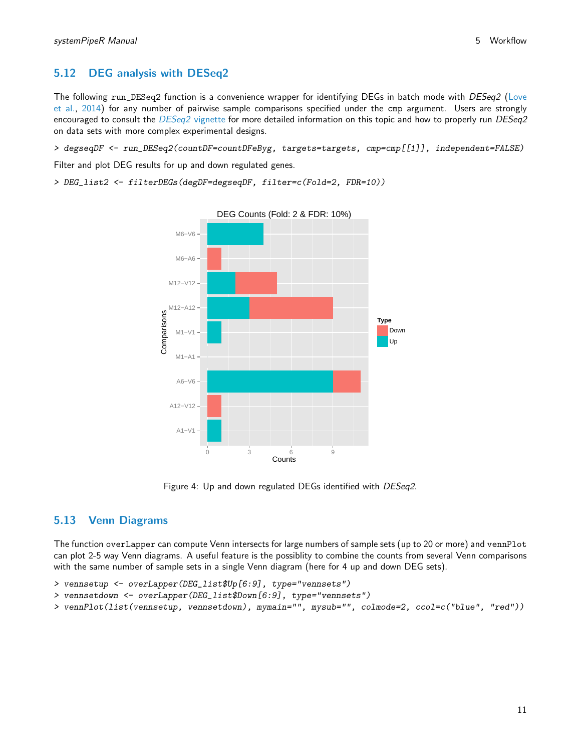# <span id="page-10-0"></span>5.12 DEG analysis with DESeq2

The following run\_DESeq2 function is a convenience wrapper for identifying DEGs in batch mode with DESeq2 [\(Love](#page-15-11) [et al.,](#page-15-11) [2014\)](#page-15-11) for any number of pairwise sample comparisons specified under the cmp argument. Users are strongly encouraged to consult the [DESeq2](http://www.bioconductor.org/packages/devel/bioc/vignettes/DESeq2/inst/doc/DESeq2.pdf) vignette for more detailed information on this topic and how to properly run DESeq2 on data sets with more complex experimental designs.

> degseqDF <- run\_DESeq2(countDF=countDFeByg, targets=targets, cmp=cmp[[1]], independent=FALSE)

Filter and plot DEG results for up and down regulated genes.

> DEG\_list2 <- filterDEGs(degDF=degseqDF, filter=c(Fold=2, FDR=10))



Figure 4: Up and down regulated DEGs identified with DESeq2.

## <span id="page-10-1"></span>5.13 Venn Diagrams

The function overLapper can compute Venn intersects for large numbers of sample sets (up to 20 or more) and vennPlot can plot 2-5 way Venn diagrams. A useful feature is the possiblity to combine the counts from several Venn comparisons with the same number of sample sets in a single Venn diagram (here for 4 up and down DEG sets).

```
> vennsetup <- overLapper(DEG_list$Up[6:9], type="vennsets")
```
- > vennsetdown <- overLapper(DEG\_list\$Down[6:9], type="vennsets")
- > vennPlot(list(vennsetup, vennsetdown), mymain="", mysub="", colmode=2, ccol=c("blue", "red"))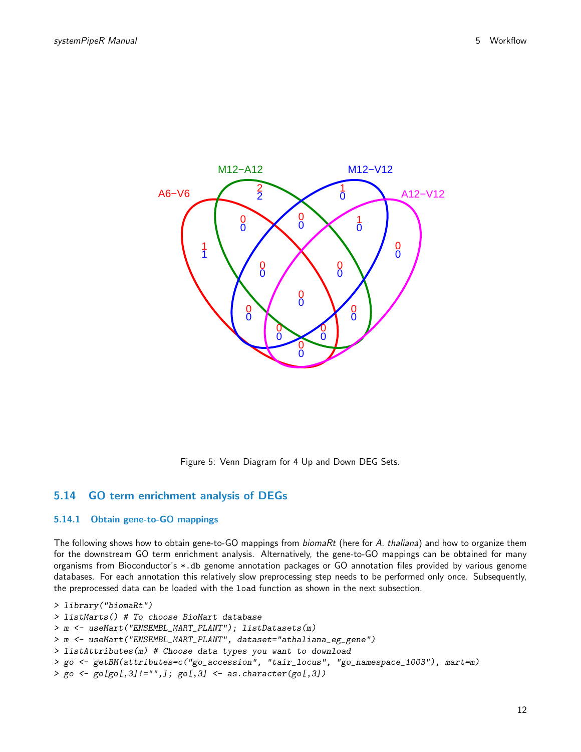

Figure 5: Venn Diagram for 4 Up and Down DEG Sets.

### <span id="page-11-0"></span>5.14 GO term enrichment analysis of DEGs

#### <span id="page-11-1"></span>5.14.1 Obtain gene-to-GO mappings

The following shows how to obtain gene-to-GO mappings from *biomaRt* (here for A. thaliana) and how to organize them for the downstream GO term enrichment analysis. Alternatively, the gene-to-GO mappings can be obtained for many organisms from Bioconductor's \*.db genome annotation packages or GO annotation files provided by various genome databases. For each annotation this relatively slow preprocessing step needs to be performed only once. Subsequently, the preprocessed data can be loaded with the load function as shown in the next subsection.

```
> library("biomaRt")
> listMarts() # To choose BioMart database
> m <- useMart("ENSEMBL_MART_PLANT"); listDatasets(m)
> m <- useMart("ENSEMBL_MART_PLANT", dataset="athaliana_eg_gene")
> listAttributes(m) # Choose data types you want to download
> go <- getBM(attributes=c("go_accession", "tair_locus", "go_namespace_1003"), mart=m)
> go \leftarrow go[go[,3]!="",]; go[,3] \leftarrow as.character(go[,3])
```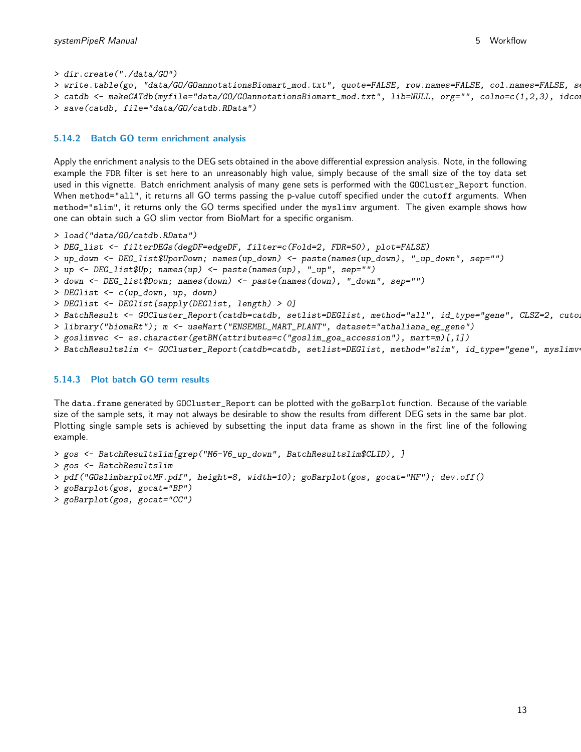> dir.create("./data/GO")

```
> write.table(go, "data/GO/GOannotationsBiomart_mod.txt", quote=FALSE, row.names=FALSE, col.names=FALSE, s
> catdb <- makeCATdb(myfile="data/GO/GOannotationsBiomart_mod.txt", lib=NULL, org="", colno=c(1,2,3), idcon
```

```
> save(catdb, file="data/GO/catdb.RData")
```
#### <span id="page-12-0"></span>5.14.2 Batch GO term enrichment analysis

Apply the enrichment analysis to the DEG sets obtained in the above differential expression analysis. Note, in the following example the FDR filter is set here to an unreasonably high value, simply because of the small size of the toy data set used in this vignette. Batch enrichment analysis of many gene sets is performed with the GOCluster\_Report function. When method="all", it returns all GO terms passing the p-value cutoff specified under the cutoff arguments. When method="slim", it returns only the GO terms specified under the myslimv argument. The given example shows how one can obtain such a GO slim vector from BioMart for a specific organism.

```
> load("data/GO/catdb.RData")
> DEG_list <- filterDEGs(degDF=edgeDF, filter=c(Fold=2, FDR=50), plot=FALSE)
> up_down <- DEG_list$UporDown; names(up_down) <- paste(names(up_down), "_up_down", sep="")
> up <- DEG_list$Up; names(up) <- paste(names(up), "_up", sep="")
> down <- DEG_list$Down; names(down) <- paste(names(down), "_down", sep="")
> DEGlist <- c(up_down, up, down)
> DEGlist <- DEGlist[sapply(DEGlist, length) > 0]
> BatchResult <- GOCluster_Report(catdb=catdb, setlist=DEGlist, method="all", id_type="gene", CLSZ=2, cuto
> library("biomaRt"); m <- useMart("ENSEMBL_MART_PLANT", dataset="athaliana_eg_gene")
> goslimvec <- as.character(getBM(attributes=c("goslim_goa_accession"), mart=m)[,1])
> BatchResultslim <- GOCluster_Report(catdb=catdb, setlist=DEGlist, method="slim", id_type="gene", myslimv
```
#### <span id="page-12-1"></span>5.14.3 Plot batch GO term results

The data.frame generated by GOCluster\_Report can be plotted with the goBarplot function. Because of the variable size of the sample sets, it may not always be desirable to show the results from different DEG sets in the same bar plot. Plotting single sample sets is achieved by subsetting the input data frame as shown in the first line of the following example.

```
> gos <- BatchResultslim[grep("M6-V6_up_down", BatchResultslim$CLID), ]
```

```
> gos <- BatchResultslim
```

```
> pdf("GOslimbarplotMF.pdf", height=8, width=10); goBarplot(gos, gocat="MF"); dev.off()
```

```
> goBarplot(gos, gocat="BP")
```
> goBarplot(gos, gocat="CC")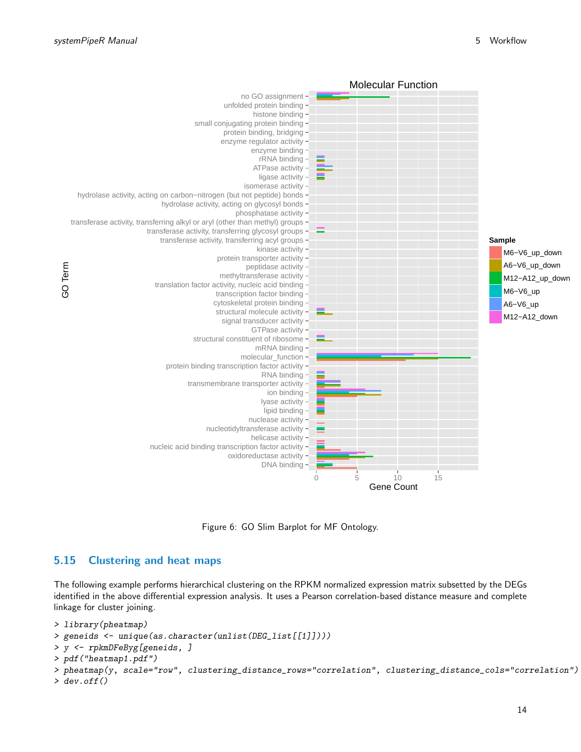

Figure 6: GO Slim Barplot for MF Ontology.

### <span id="page-13-0"></span>5.15 Clustering and heat maps

The following example performs hierarchical clustering on the RPKM normalized expression matrix subsetted by the DEGs identified in the above differential expression analysis. It uses a Pearson correlation-based distance measure and complete linkage for cluster joining.

```
> library(pheatmap)
```

```
> geneids <- unique(as.character(unlist(DEG_list[[1]])))
```

```
> y <- rpkmDFeByg[geneids, ]
```

```
> pdf("heatmap1.pdf")
```

```
> pheatmap(y, scale="row", clustering_distance_rows="correlation", clustering_distance_cols="correlation")
> dev. of f()
```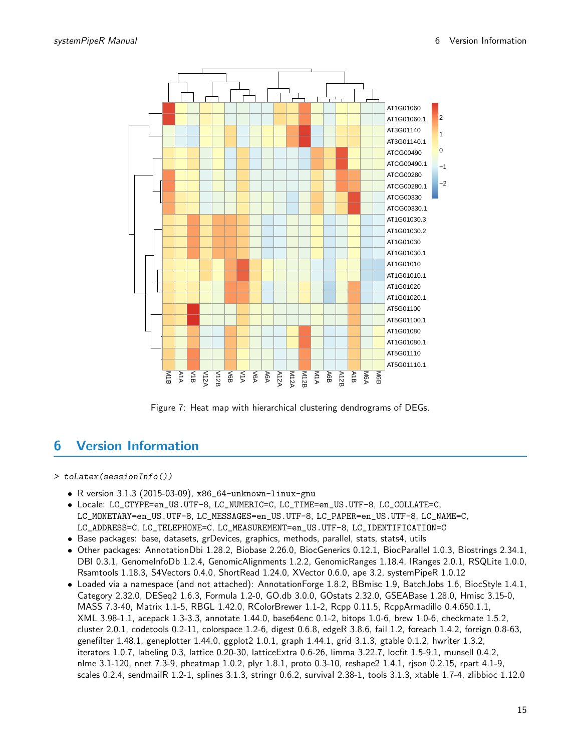

Figure 7: Heat map with hierarchical clustering dendrograms of DEGs.

# <span id="page-14-0"></span>6 Version Information

> toLatex(sessionInfo())

- R version 3.1.3 (2015-03-09), x86\_64-unknown-linux-gnu
- Locale: LC\_CTYPE=en\_US.UTF-8, LC\_NUMERIC=C, LC\_TIME=en\_US.UTF-8, LC\_COLLATE=C, LC\_MONETARY=en\_US.UTF-8, LC\_MESSAGES=en\_US.UTF-8, LC\_PAPER=en\_US.UTF-8, LC\_NAME=C, LC\_ADDRESS=C, LC\_TELEPHONE=C, LC\_MEASUREMENT=en\_US.UTF-8, LC\_IDENTIFICATION=C
- Base packages: base, datasets, grDevices, graphics, methods, parallel, stats, stats4, utils
- Other packages: AnnotationDbi 1.28.2, Biobase 2.26.0, BiocGenerics 0.12.1, BiocParallel 1.0.3, Biostrings 2.34.1, DBI 0.3.1, GenomeInfoDb 1.2.4, GenomicAlignments 1.2.2, GenomicRanges 1.18.4, IRanges 2.0.1, RSQLite 1.0.0, Rsamtools 1.18.3, S4Vectors 0.4.0, ShortRead 1.24.0, XVector 0.6.0, ape 3.2, systemPipeR 1.0.12
- Loaded via a namespace (and not attached): AnnotationForge 1.8.2, BBmisc 1.9, BatchJobs 1.6, BiocStyle 1.4.1, Category 2.32.0, DESeq2 1.6.3, Formula 1.2-0, GO.db 3.0.0, GOstats 2.32.0, GSEABase 1.28.0, Hmisc 3.15-0, MASS 7.3-40, Matrix 1.1-5, RBGL 1.42.0, RColorBrewer 1.1-2, Rcpp 0.11.5, RcppArmadillo 0.4.650.1.1, XML 3.98-1.1, acepack 1.3-3.3, annotate 1.44.0, base64enc 0.1-2, bitops 1.0-6, brew 1.0-6, checkmate 1.5.2, cluster 2.0.1, codetools 0.2-11, colorspace 1.2-6, digest 0.6.8, edgeR 3.8.6, fail 1.2, foreach 1.4.2, foreign 0.8-63, genefilter 1.48.1, geneplotter 1.44.0, ggplot2 1.0.1, graph 1.44.1, grid 3.1.3, gtable 0.1.2, hwriter 1.3.2, iterators 1.0.7, labeling 0.3, lattice 0.20-30, latticeExtra 0.6-26, limma 3.22.7, locfit 1.5-9.1, munsell 0.4.2, nlme 3.1-120, nnet 7.3-9, pheatmap 1.0.2, plyr 1.8.1, proto 0.3-10, reshape2 1.4.1, rjson 0.2.15, rpart 4.1-9, scales 0.2.4, sendmailR 1.2-1, splines 3.1.3, stringr 0.6.2, survival 2.38-1, tools 3.1.3, xtable 1.7-4, zlibbioc 1.12.0